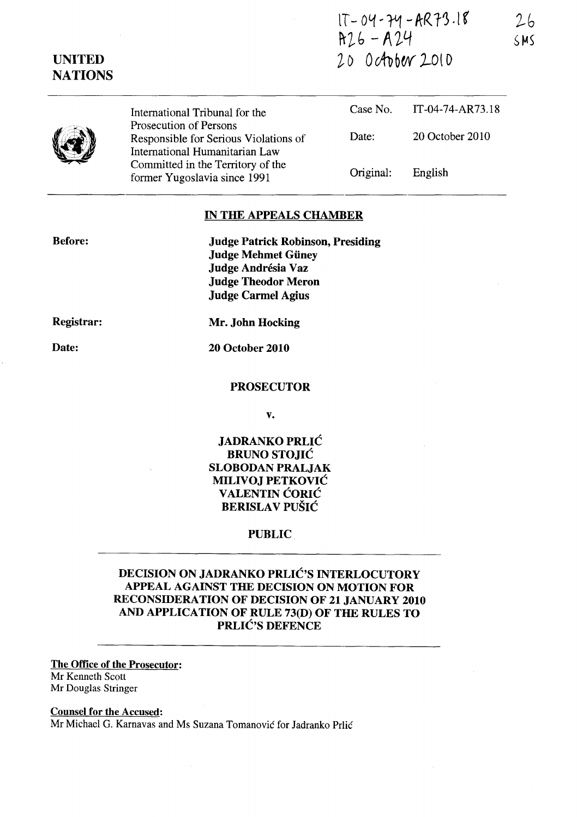$1T-04-74-AR73.18$  $R26 - R24$ 20 0 ctober 2010

 $26$  $SMS$ 

| 3 | International Tribunal for the                                                                    |           | Case No. IT-04-74-AR73.18 |
|---|---------------------------------------------------------------------------------------------------|-----------|---------------------------|
|   | Prosecution of Persons<br>Responsible for Serious Violations of<br>International Humanitarian Law | Date:     | 20 October 2010           |
|   | Committed in the Territory of the<br>former Yugoslavia since 1991                                 | Original: | English                   |

## IN THE APPEALS CHAMBER

Before:

Judge Patrick Robinson, Presiding Judge Mehmet Giiney Judge Andrésia Vaz Judge Theodor Meron Judge Carmel Agius

Registrar:

Mr. John Hocking

Date:

20 October 2010

#### PROSECUTOR

v.

# JADRANKO PRLIC BRUNO STOJIC SLOBODAN PRALJAK MILIVOJ PETKOVIC **VALENTIN CORIC** BERISLAV PUŠIĆ

### PUBLIC

DECISION ON JADRANKO PRLIC'S INTERLOCUTORY APPEAL AGAINST THE DECISION ON MOTION FOR RECONSIDERA TION OF DECISION OF 21 JANUARY 2010 AND APPLICATION OF RULE 73(D) OF THE RULES TO PRLIĆ'S DEFENCE

#### The Office of the Prosecutor: Mr Kenneth Scott Mr Douglas Stringer

Counsel for the Accused:

Mr Michael G. Karnavas and Ms Suzana Tomanovic for Jadranko Prlic

UNITED **NATIONS**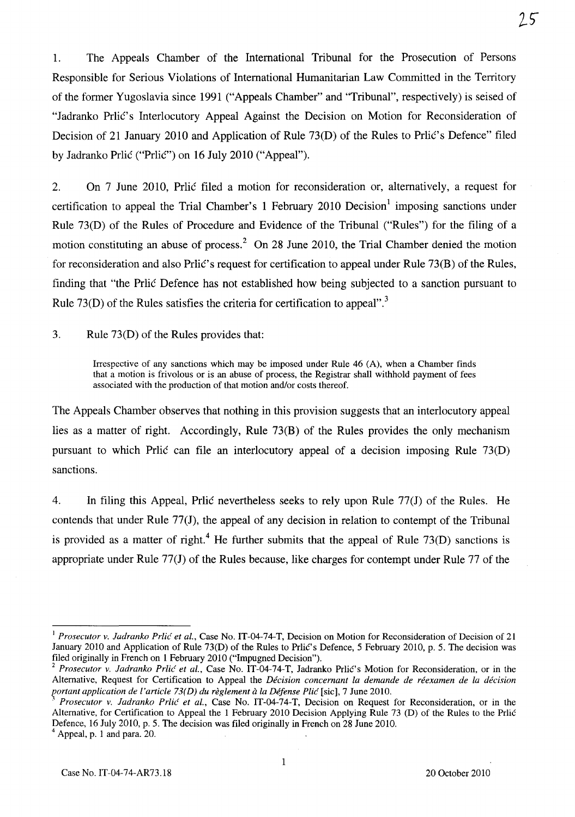1. The Appeals Chamber of the International Tribunal for the Prosecution of Persons Responsible for Serious Violations of International Humanitarian Law Committed in the Territory of the former Yugoslavia since 1991 ("Appeals Chamber" and "Tribunal", respectively) is seised of "Jadranko Prlić's Interlocutory Appeal Against the Decision on Motion for Reconsideration of Decision of 21 January 2010 and Application of Rule 73(D) of the Rules to Prlic's Defence" filed by Jadranko Prlic ("Prlic") on 16 July 2010 ("Appeal").

2. On 7 June 2010, Prlic filed a motion for reconsideration or, alternatively, a request for certification to appeal the Trial Chamber's 1 February 2010 Decision<sup>1</sup> imposing sanctions under Rule 73(D) of the Rules of Procedure and Evidence of the Tribunal ("Rules") for the filing of a motion constituting an abuse of process.<sup>2</sup> On 28 June 2010, the Trial Chamber denied the motion for reconsideration and also Prlic's request for certification to appeal under Rule 73(B) of the Rules, finding that "the Prlic Defence has not established how being subjected to a sanction pursuant to Rule 73(D) of the Rules satisfies the criteria for certification to appeal".<sup>3</sup>

3. Rule 73(D) of the Rules provides that:

Irrespective of any sanctions which may be imposed under Rule 46 (A), when a Chamber finds that a motion is frivolous or is an abuse of process, the Registrar shall withhold payment of fees associated with the production of that motion and/or costs thereof.

The Appeals Chamber observes that nothing in this provision suggests that an interlocutory appeal lies as a matter of right. Accordingly, Rule 73(B) of the Rules provides the only mechanism pursuant to which Prlic can file an interlocutory appeal of a decision imposing Rule 73(D) sanctions.

4. In filing this Appeal, Prlic nevertheless seeks to rely upon Rule 77(1) of the Rules. He contends that under Rule  $77(J)$ , the appeal of any decision in relation to contempt of the Tribunal is provided as a matter of right.<sup>4</sup> He further submits that the appeal of Rule 73(D) sanctions is appropriate under Rule 77(J) of the Rules because, like charges for contempt under Rule 77 of the

1

 $25$ 

<sup>&</sup>lt;sup>1</sup> Prosecutor v. Jadranko Prlić et al., Case No. IT-04-74-T, Decision on Motion for Reconsideration of Decision of 21 January 2010 and Application of Rule 73(D) of the Rules to Prlic's Defence, 5 February 2010, p. 5. The decision was filed originally in French on 1 February 2010 ("Impugned Decision").

*<sup>2</sup> Prosecutor v. ladranko Prlic et al.,* Case No. IT-04-74-T, Jadranko Prlic's Motion for Reconsideration, or in the Alternative, Request for Certification to Appeal the *Decision concernant la demande de reexamen de la decision portant application de l'article 73(D) du reglement a la Defense Plic* [sic], 7 June 2010.

<sup>3</sup>*Prosecutor v. ladranko Prlic et aI.,* Case No. IT-04-74-T, Decision on Request for Reconsideration, or in the Alternative, for Certification to Appeal the 1 February 2010 Decision Applying Rule 73 (D) of the Rules to the Prlic Defence, 16 July 2010, p. 5. The decision was filed originally in French on 28 June 2010.

Appeal, p. 1 and para. 20.